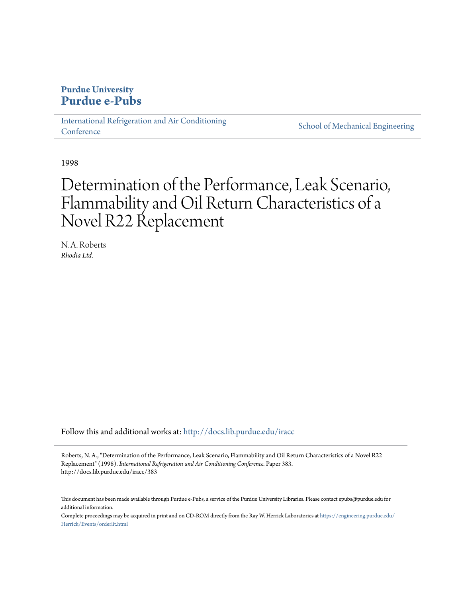## **Purdue University [Purdue e-Pubs](http://docs.lib.purdue.edu?utm_source=docs.lib.purdue.edu%2Firacc%2F383&utm_medium=PDF&utm_campaign=PDFCoverPages)**

[International Refrigeration and Air Conditioning](http://docs.lib.purdue.edu/iracc?utm_source=docs.lib.purdue.edu%2Firacc%2F383&utm_medium=PDF&utm_campaign=PDFCoverPages) **[Conference](http://docs.lib.purdue.edu/iracc?utm_source=docs.lib.purdue.edu%2Firacc%2F383&utm_medium=PDF&utm_campaign=PDFCoverPages)** 

[School of Mechanical Engineering](http://docs.lib.purdue.edu/me?utm_source=docs.lib.purdue.edu%2Firacc%2F383&utm_medium=PDF&utm_campaign=PDFCoverPages)

1998

# Determination of the Performance, Leak Scenario, Flammability and Oil Return Characteristics of a Novel R22 Replacement

N. A. Roberts *Rhodia Ltd.*

Follow this and additional works at: [http://docs.lib.purdue.edu/iracc](http://docs.lib.purdue.edu/iracc?utm_source=docs.lib.purdue.edu%2Firacc%2F383&utm_medium=PDF&utm_campaign=PDFCoverPages)

Roberts, N. A., "Determination of the Performance, Leak Scenario, Flammability and Oil Return Characteristics of a Novel R22 Replacement" (1998). *International Refrigeration and Air Conditioning Conference.* Paper 383. http://docs.lib.purdue.edu/iracc/383

This document has been made available through Purdue e-Pubs, a service of the Purdue University Libraries. Please contact epubs@purdue.edu for additional information.

Complete proceedings may be acquired in print and on CD-ROM directly from the Ray W. Herrick Laboratories at [https://engineering.purdue.edu/](https://engineering.purdue.edu/Herrick/Events/orderlit.html) [Herrick/Events/orderlit.html](https://engineering.purdue.edu/Herrick/Events/orderlit.html)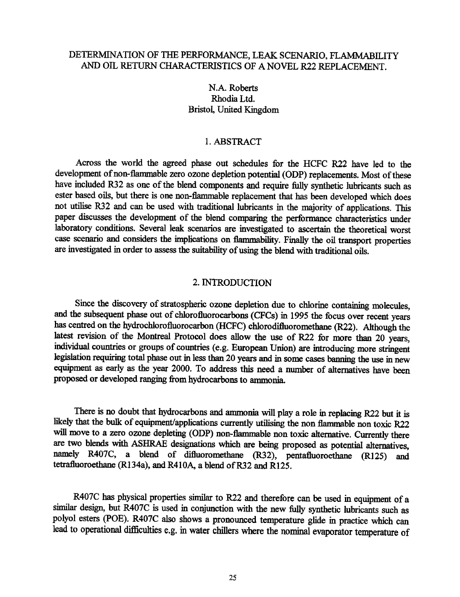## DE1ERMINATION OF THE PERFORMANCE, LEAK SCENARIO, FLAMMABILITY AND OIL RETURN CHARACTERISTICS OF A NOVEL R22 REPLACEMENT.

N.A. Roberts Rhodia Ltd. Bristol, United Kingdom

### 1. ABSTRACT

Across the world the agreed phase out schedules for the HCFC R22 have led to the development of non-flammable zero ozone depletion potential (ODP) replacements. Most of these have included R32 as one of the blend components and require fully synthetic lubricants such as ester based oils, but there is one non-flammable replacement that has been developed which does not utilise R32 and can be used with traditional lubricants in the majority of applications. This paper discusses the development of the blend comparing the performance characteristics under laboratory conditions. Several leak scenarios are investigated to ascertain the theoretical worst case scenario and considers the implications on flammability. Finally the oil transport properties are investigated in order to assess the suitability of using the blend with traditional oils.

#### 2. INTRODUCTION

Since the discovery of stratospheric ozone depletion due to chlorine containing molecules, and the subsequent phase out of chlorofluorocarbons (CFCs) in 1995 the focus over recent years has centred on the hydrochlorofluorocarbon (HCFC) chlorodifluoromethane (R22). Although the latest revision of the Montreal Protocol does allow the use of R22 for more than 20 years, individual countries or groups of countries (e.g. European Union) are introducing more stringent legislation requiring total phase out in less than 20 years and in some cases banning the use in new equipment as early as the year 2000. To address this need a number of alternatives have been proposed or developed ranging from hydrocarbons to ammonia.

There is no doubt that hydrocarbons and ammonia will play a role in replacing R22 but it is likely that the bulk of equipment/applications currently utilising the non flammable non toxic R22 will move to a zero ozone depleting (ODP) non-flammable non toxic alternative. Currently there are two blends with ASHRAE designations which are being proposed as potential alternatives, namely R407C, a blend of difluoromethane (R32), pentafluoroethane (R125) and tetrafluoroethane (R134a), and R410A, a blend of R32 and R125.

R407C has physical properties similar to R22 and therefore can be used in equipment of <sup>a</sup> similar design, but R407C is used in conjunction with the new fully synthetic lubricants such as polyol esters (POE). R407C also shows a pronounced temperature glide in practice which can lead to operational difficulties e.g. in water chillers where the nominal evaporator temperature of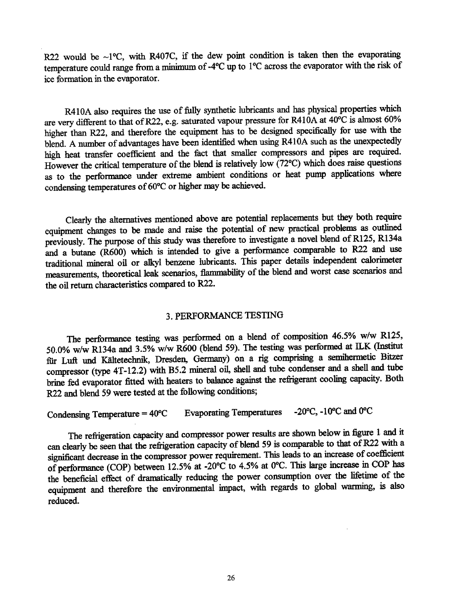R22 would be ~1 $\degree$ C, with R407C, if the dew point condition is taken then the evaporating temperature could range from a minimum of -4°C up to 1 °C across the evaporator with the risk of ice formation in the evaporator.

R410A also requires the use of fully synthetic lubricants and has physical properties which are very different to that of R22, e.g. saturated vapour pressure for R410A at 40°C is almost 60% higher than R22, and therefore the equipment has to be designed specifically for use with the blend. A number of advantages have been identified when using R41 OA such as the unexpectedly high heat transfer coefficient and the fact that smaller compressors and pipes are required. However the critical temperature of the blend is relatively low (72°C) which does raise questions as to the performance under extreme ambient conditions or heat pump applications where condensing temperatures of 60°C or higher may be achieved.

Clearly the alternatives mentioned above are potential replacements but they both require equipment changes to be made and raise the potential of new practical problems as outlined previously. The purpose of this study was therefore to investigate a novel blend of R125, R134a and a butane (R600) which is intended to give a performance comparable to R22 and use traditional mineral oil or alkyl benzene lubricants. This paper details independent calorimeter measurements, theoretical leak scenarios, flammability of the blend and worst case scenarios and the oil return characteristics compared to R22.

#### 3. PERFORMANCE TESTING

The performance testing was performed on a blend of composition 46.5% w/w R125, 50.0% w/w R134a and 3.5% w/w R600 (blend 59). The testing was performed at ILK (Institut fiir Luft und Kaltetechnik, Dresden, Germany) on a rig comprising a semihennetic Bitzer compressor (type 4T-12.2) with B5.2 mineral oil, shell and tube condenser and a shell and tube brine fed evaporator fitted with heaters to balance against the refrigerant cooling capacity. Both R22 and blend 59 were tested at the following conditions;

Condensing Temperature =  $40^{\circ}$ C Evaporating Temperatures -20 $^{\circ}$ C, -10 $^{\circ}$ C and 0 $^{\circ}$ C

The refrigeration capacity and compressor power results are shown below in figure l and it can clearly be seen that the refrigeration capacity of blend 59 is comparable to that of R22 with a significant decrease in the compressor power requirement. This leads to an increase of coefficient of performance (COP) between 12.5% at -20°C to 4.5% at 0°C. This large increase in COP has the beneficial effect of dramatically reducing the power consumption over the lifetime of the equipment and therefore the environmental impact, with regards to global warming, is also reduced.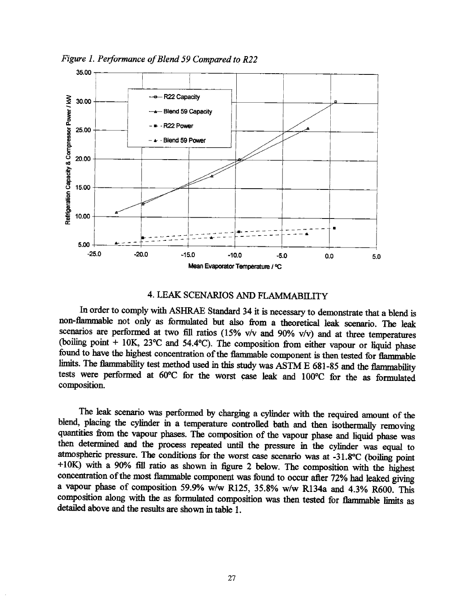*Figure 1. Performance of Blend 59 Compared to R22* 



## 4. LEAK SCENARIOS AND FLAMMABllJTY

In order to comply with ASHRAE Standard 34 it is necessary to demonstrate that a blend is non-flammable not only as formulated but also from a theoretical leak scenario. The leak scenarios are performed at two fill ratios (15% v/v and 90% v/v) and at three temperatures (boiling point + IOK, 23°C and 54.4°C). The composition from either vapour or liquid phase found to have the highest concentration of the flammable component is then tested for flammable limits. The flammability test method used in this study was ASTM E 681-85 and the flammability tests were performed at 60°C for the worst case leak and 1 00°C for the as formulated composition.

The leak scenario was performed by charging a cylinder with the required amount of the blend, placing the cylinder in a temperature controlled bath and then isothermally removing quantities from the vapour phases. The composition of the vapour phase and liquid phase was then determined and the process repeated until the pressure in the cylinder was equal to atmospheric pressure. The conditions for the worst case scenario was at -31.8°C (boiling point  $+10\text{K}$  with a 90% fill ratio as shown in figure 2 below. The composition with the highest concentration of the most flammable component was found to occur after 72% had leaked giving a vapour phase of composition 59.9% w/w R125, 35.8% w/w Rl34a and 4.3% R600. This composition along with the as formulated composition was then tested for flammable limits as detailed above and the results are shown in table 1.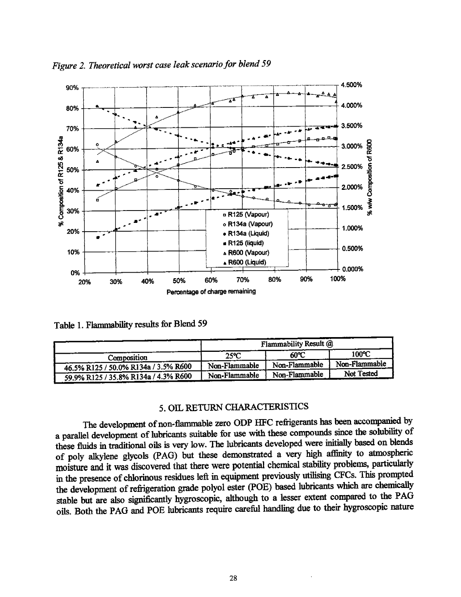

*Figure 2. Theoretical worst case leak scenario for blend <sup>59</sup>*

Table 1. Flammability results for Blend 59

|                                      | Flammability Result @ |                 |               |
|--------------------------------------|-----------------------|-----------------|---------------|
| Composition                          | $25^{\circ}C$         | 60°C            | 100°C         |
| 46.5% R125 / 50.0% R134a / 3.5% R600 | Non-Flammable         | Non-Flammable   | Non-Flammable |
| 59.9% R125 / 35.8% R134a / 4.3% R600 | Non-Flammable         | ' Non-Flammable | Not Tested    |

## 5. OIL RETURN CHARACTERISTICS

The development of non-flammable zero ODP HFC refrigerants has been accompanied by a parallel development of lubricants suitable for use with these compounds since the solubility of these fluids in traditional oils is very low. The lubricants developed were initially based on blends of poly alkylene glycols (PAG) but these demonstrated a very high affinity to atmospheric moisture and it was discovered that there were potential chemical stability problems, particularly in the presence of chlorinous residues left in equipment previously utilising CFCs. This prompted the development of refrigeration grade polyol ester (POE) based lubricants which are chemically stable but are also significantly hygroscopic, although to a lesser extent compared to the PAG oils. Both the PAG and POE lubricants require careful handling due to their hygroscopic nature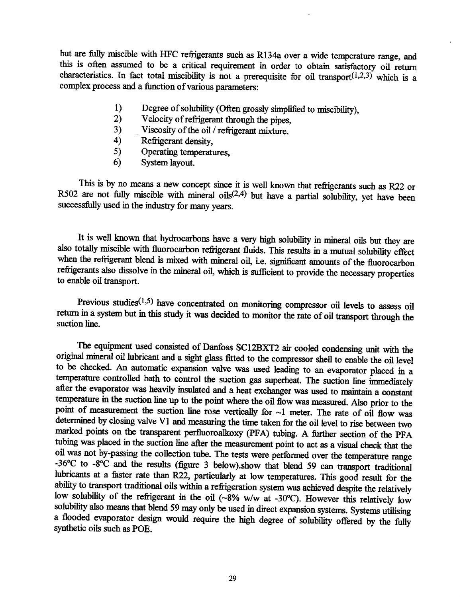but are fully miscible with HFC refrigerants such as Rl34a over a wide temperature range, and this is often assumed to be a critical requirement in order to obtain satisfactory oil return characteristics. In fact total miscibility is not a prerequisite for oil transport $(1,2,3)$  which is a complex process and a function of various parameters:

- 1) Degree of solubility (Often grossly simplified to miscibility),<br>2) Velocity of refrigerant through the nines
- 2) Velocity of refrigerant through the pipes,<br>3) Viscosity of the oil / refrigerant mixture
- 3) Viscosity of the oil / refrigerant mixture,<br>4) Refrigerant density.
- Refrigerant density,
- 5) Operating temperatures,
- 6) System layout.

This is by no means a new concept since it is well known that refrigerants such as R22 or R502 are not fully miscible with mineral oils<sup> $(2,4)$ </sup> but have a partial solubility, yet have been successfully used in the industry for many years.

It is well known that hydrocarbons have a very high solubility in mineral oils but they are also totally miscible with fluorocarbon refrigerant fluids. This results in a mutual solubility effect when the refrigerant blend is mixed with mineral oil, i.e. significant amounts of the fluorocarbon refrigerants also dissolve in the mineral oil, which is sufficient to provide the necessary properties to enable oil transport.

Previous studies $(1,5)$  have concentrated on monitoring compressor oil levels to assess oil return in a system but in this study it was decided to monitor the rate of oil transport through the suction line.

The equipment used consisted of Danfoss SC12BXT2 air cooled condensing unit with the original mineral oil lubricant and a sight glass fitted to the compressor shell to enable the oil level to be checked. An automatic expansion valve was used leading to an evaporator placed in a temperature controlled bath to control the suction gas superheat. The suction line immediately after the evaporator was heavily insulated and a heat exchanger was used to maintain a constant temperature in the suction line up to the point where the oil flow was measured. Also prior to the point of measurement the suction line rose vertically for  $\sim$ 1 meter. The rate of oil flow was determined by closing valve VI and measming the time taken for the oil level to rise between two marked points on the transparent perfluoroalkoxy (PFA) tubing. A further section of the PFA tubing was placed in the suction line after the measurement point to act as a visual check that the oil was not by·passing the collection tube. The tests were performed over the temperature range -36°C to ·8°C and the results (figure 3 below).show that blend 59 can transport traditional lubricants at a faster rate than R22, particularly at low temperatures. This good result for the ability to transport traditional oils within a refrigeration system was achieved despite the relatively low solubility of the refrigerant in the oil (~8% w/w at -30°C). However this relatively low solubility also means that blend 59 may only be used in direct expansion systems. Systems utilising a flooded evaporator design would require the high degree of solubility offered by the fully synthetic oils such as POE.